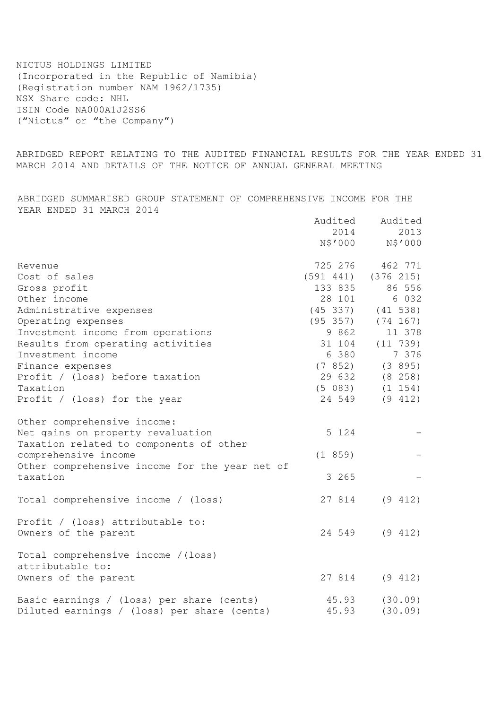NICTUS HOLDINGS LIMITED (Incorporated in the Republic of Namibia) (Registration number NAM 1962/1735) NSX Share code: NHL ISIN Code NA000A1J2SS6 ("Nictus" or "the Company")

ABRIDGED REPORT RELATING TO THE AUDITED FINANCIAL RESULTS FOR THE YEAR ENDED 31 MARCH 2014 AND DETAILS OF THE NOTICE OF ANNUAL GENERAL MEETING

ABRIDGED SUMMARISED GROUP STATEMENT OF COMPREHENSIVE INCOME FOR THE YEAR ENDED 31 MARCH 2014

|                                                                              | Audited<br>2014 | Audited<br>2013<br>N\$'000 N\$'000 |
|------------------------------------------------------------------------------|-----------------|------------------------------------|
| Revenue                                                                      | 725 276         | 462 771                            |
| Cost of sales                                                                | (591 441)       | (376 215)                          |
| Gross profit                                                                 | 133 835         | 86 556                             |
| Other income                                                                 | 28 101          | 6 0 3 2                            |
| Administrative expenses                                                      | (45, 337)       | $(41\ \ 538)$                      |
| Operating expenses                                                           | (95 357)        | (74 167)                           |
| Investment income from operations                                            | 9 862           | 11 378                             |
| Results from operating activities                                            | 31 104          | (11 739)                           |
| Investment income                                                            | 6 380           | 7 3 7 6                            |
| Finance expenses                                                             |                 | $(7852)$ $(3895)$                  |
| Profit / (loss) before taxation                                              |                 | 29 632 (8 258)                     |
| Taxation                                                                     |                 | $(5 083)$ $(1 154)$                |
| Profit / (loss) for the year                                                 | 24 549          | (9 412)                            |
| Other comprehensive income:                                                  |                 |                                    |
| Net gains on property revaluation<br>Taxation related to components of other | 5 124           |                                    |
| comprehensive income                                                         | (1 859)         |                                    |
| Other comprehensive income for the year net of                               |                 |                                    |
| taxation                                                                     | 3 265           |                                    |
| Total comprehensive income / (loss)                                          | 27 814          | (9 412)                            |
| Profit / (loss) attributable to:                                             |                 |                                    |
| Owners of the parent                                                         | 24 549          | (9 412)                            |
| Total comprehensive income / (loss)<br>attributable to:                      |                 |                                    |
| Owners of the parent                                                         |                 | 27 814 (9 412)                     |
| Basic earnings / (loss) per share (cents)                                    | 45.93           | (30.09)                            |
| Diluted earnings / (loss) per share (cents)                                  | 45.93           | (30.09)                            |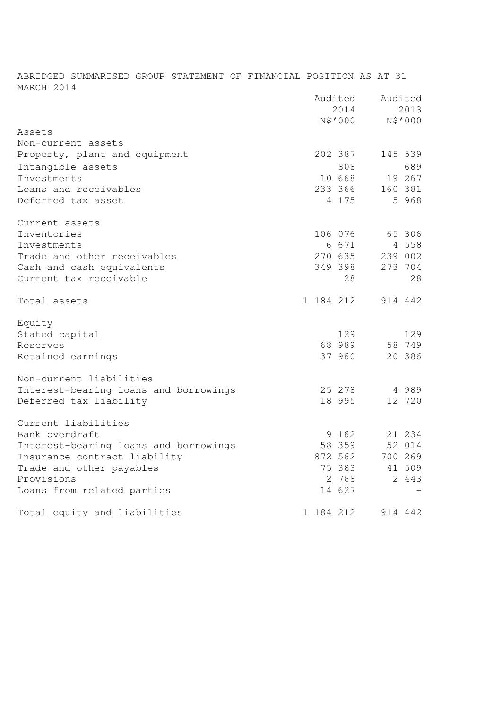ABRIDGED SUMMARISED GROUP STATEMENT OF FINANCIAL POSITION AS AT 31 MARCH 2014

| Assets                                |           | Audited<br>2014<br>N\$'000 |         | Audited<br>2013<br>N\$'000 |
|---------------------------------------|-----------|----------------------------|---------|----------------------------|
| Non-current assets                    |           |                            |         |                            |
| Property, plant and equipment         |           | 202 387                    |         | 145 539                    |
| Intangible assets                     |           | 808                        |         | 689                        |
| Investments                           |           | 10 668                     |         | 19 267                     |
| Loans and receivables                 |           | 233 366                    |         | 160 381                    |
| Deferred tax asset                    |           | 4 1 7 5                    |         | 5 968                      |
| Current assets                        |           |                            |         |                            |
| Inventories                           |           | 106 076                    |         | 65 306                     |
| Investments                           |           | 6 6 7 1                    |         | 4 5 5 8                    |
| Trade and other receivables           |           | 270 635                    |         | 239 002                    |
| Cash and cash equivalents             |           | 349 398                    |         | 273 704                    |
| Current tax receivable                |           | 28                         |         | 28                         |
| Total assets                          | 1 184 212 |                            |         | 914 442                    |
| Equity                                |           |                            |         |                            |
| Stated capital                        |           | 129                        |         | 129                        |
| Reserves                              |           | 68 989                     |         | 58 749                     |
| Retained earnings                     |           | 37 960                     |         | 20 386                     |
| Non-current liabilities               |           |                            |         |                            |
| Interest-bearing loans and borrowings |           | 25 278                     | 4 9 8 9 |                            |
| Deferred tax liability                |           | 18 995                     |         | 12 720                     |
| Current liabilities                   |           |                            |         |                            |
| Bank overdraft                        |           | 9 162                      |         | 21 234                     |
| Interest-bearing loans and borrowings |           | 58 359                     |         | 52 014                     |
| Insurance contract liability          |           | 872 562                    |         | 700 269                    |
| Trade and other payables              |           | 75 383                     |         | 41 509                     |
| Provisions                            |           | 2 768                      |         | 2 443                      |
| Loans from related parties            |           | 14 627                     |         |                            |
| Total equity and liabilities          | 1 184 212 |                            |         | 914 442                    |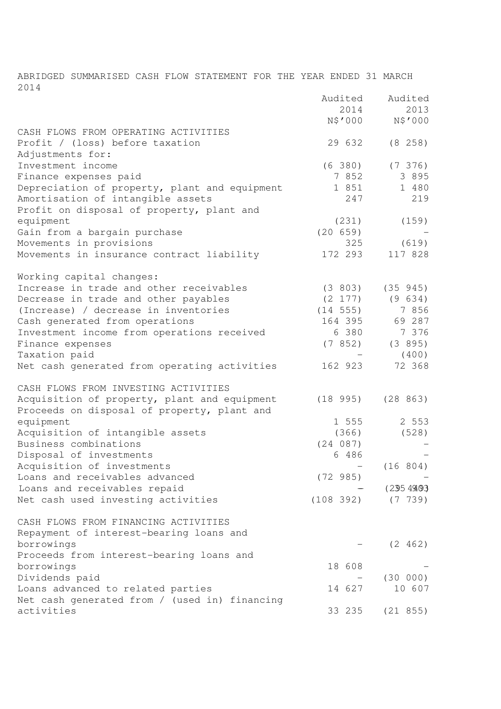ABRIDGED SUMMARISED CASH FLOW STATEMENT FOR THE YEAR ENDED 31 MARCH 2014

|                                               | Audited         | Audited         |
|-----------------------------------------------|-----------------|-----------------|
|                                               | 2014<br>N\$'000 | 2013<br>N\$'000 |
| CASH FLOWS FROM OPERATING ACTIVITIES          |                 |                 |
| Profit / (loss) before taxation               | 29 632          | (8 258)         |
| Adjustments for:                              |                 |                 |
| Investment income                             | (6 380)         | (7, 376)        |
| Finance expenses paid                         | 7 8 5 2         | 3 8 9 5         |
| Depreciation of property, plant and equipment | 1 851           | 1 480           |
| Amortisation of intangible assets             | 247             | 219             |
| Profit on disposal of property, plant and     |                 |                 |
| equipment                                     | (231)           | (159)           |
| Gain from a bargain purchase                  | (20 659)        |                 |
| Movements in provisions                       | 325             | (619)           |
| Movements in insurance contract liability     | 172 293         | 117 828         |
| Working capital changes:                      |                 |                 |
| Increase in trade and other receivables       | (3803)          | (35 945)        |
| Decrease in trade and other payables          | $(2\;177)$      | (9 634)         |
| (Increase) / decrease in inventories          | (14 555)        | 7 856           |
| Cash generated from operations                | 164 395         | 69 287          |
| Investment income from operations received    | 6 380           | 7 376           |
| Finance expenses                              | (7852)          | (3 895)         |
| Taxation paid                                 |                 | (400)           |
| Net cash generated from operating activities  | 162 923         | 72 368          |
| CASH FLOWS FROM INVESTING ACTIVITIES          |                 |                 |
| Acquisition of property, plant and equipment  | (18995)         | (28 863)        |
| Proceeds on disposal of property, plant and   |                 |                 |
| equipment                                     | 1 555           | 2 5 5 3         |
| Acquisition of intangible assets              | (366)           | (528)           |
| Business combinations                         | (24 087)        |                 |
| Disposal of investments                       | 6 486           |                 |
| Acquisition of investments                    |                 | (16 804)        |
| Loans and receivables advanced                | (72985)         |                 |
| Loans and receivables repaid                  |                 | (2354993)       |
| Net cash used investing activities            | (108 392)       | $(7 \t 739)$    |
| CASH FLOWS FROM FINANCING ACTIVITIES          |                 |                 |
| Repayment of interest-bearing loans and       |                 |                 |
| borrowings                                    |                 | (2 462)         |
| Proceeds from interest-bearing loans and      |                 |                 |
| borrowings                                    | 18 608          |                 |
| Dividends paid                                |                 | (30 000)        |
| Loans advanced to related parties             | 14 627          | 10 607          |
| Net cash generated from / (used in) financing |                 |                 |
| activities                                    | 33 235          | (21 855)        |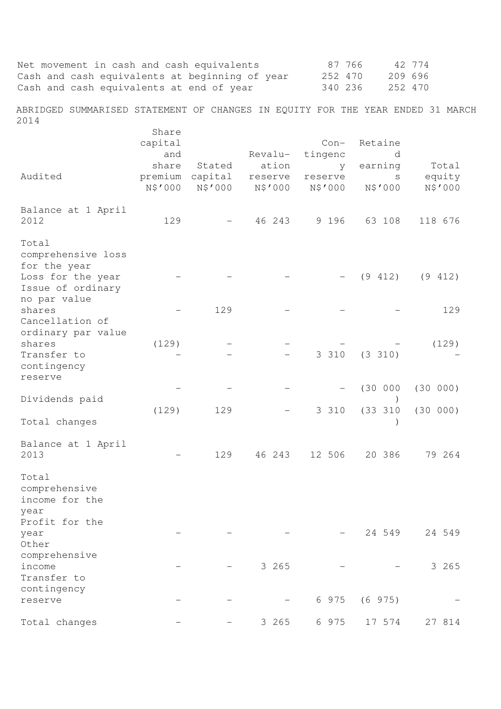| Net movement in cash and cash equivalents<br>Cash and cash equivalents at beginning of year<br>Cash and cash equivalents at end of year |                             |                              |                             | 87 766<br>252 470<br>340 236 |                               | 42 774<br>209 696<br>252 470 |
|-----------------------------------------------------------------------------------------------------------------------------------------|-----------------------------|------------------------------|-----------------------------|------------------------------|-------------------------------|------------------------------|
| ABRIDGED SUMMARISED STATEMENT OF CHANGES IN EQUITY FOR THE YEAR ENDED 31 MARCH<br>2014                                                  |                             |                              |                             |                              |                               |                              |
|                                                                                                                                         | Share<br>capital<br>and     |                              | Revalu-                     | $Con-$<br>tingenc            | Retaine<br>d                  |                              |
| Audited                                                                                                                                 | share<br>premium<br>N\$'000 | Stated<br>capital<br>N\$'000 | ation<br>reserve<br>N\$'000 | y.<br>reserve<br>N\$'000     | earning<br>$\rm S$<br>N\$'000 | Total<br>equity<br>N\$'000   |
| Balance at 1 April<br>2012                                                                                                              | 129                         |                              | 46 243                      | 9 1 9 6                      | 63 108                        | 118 676                      |
| Total<br>comprehensive loss<br>for the year                                                                                             |                             |                              |                             |                              |                               |                              |
| Loss for the year<br>Issue of ordinary<br>no par value                                                                                  |                             |                              |                             |                              | (9 412)                       | (9 412)                      |
| shares<br>Cancellation of<br>ordinary par value                                                                                         |                             | 129                          |                             |                              |                               | 129                          |
| shares<br>Transfer to<br>contingency                                                                                                    | (129)                       |                              |                             | 3 3 1 0                      | (3 310)                       | (129)                        |
| reserve                                                                                                                                 |                             |                              |                             |                              | (30 000)                      | (30 000)                     |
| Dividends paid<br>Total changes                                                                                                         | (129)                       | 129                          |                             | 3 3 1 0                      | (33 310)                      | (30 000)                     |
| Balance at 1 April<br>2013                                                                                                              |                             | 129                          | 46 243                      | 12 506                       | 20 386                        | 79 264                       |
| Total<br>comprehensive<br>income for the<br>year                                                                                        |                             |                              |                             |                              |                               |                              |
| Profit for the<br>year<br>Other                                                                                                         |                             |                              |                             |                              | 24 549                        | 24 549                       |
| comprehensive<br>income<br>Transfer to                                                                                                  |                             |                              | 3 265                       |                              |                               | 3 265                        |
| contingency<br>reserve                                                                                                                  |                             |                              |                             | 6 9 7 5                      | (6975)                        |                              |
| Total changes                                                                                                                           |                             |                              | 3 265                       | 6 9 7 5                      | 17 574                        | 27 814                       |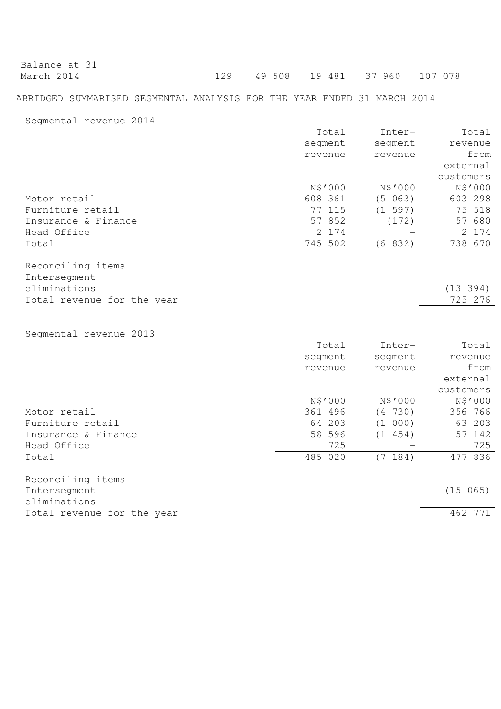| Balance at 31 |  |                                  |  |
|---------------|--|----------------------------------|--|
| March 2014    |  | 129 49 508 19 481 37 960 107 078 |  |

## ABRIDGED SUMMARISED SEGMENTAL ANALYSIS FOR THE YEAR ENDED 31 MARCH 2014

Segmental revenue 2014

|                            | Total   | Inter-  | Total     |
|----------------------------|---------|---------|-----------|
|                            | segment | segment | revenue   |
|                            | revenue | revenue | from      |
|                            |         |         | external  |
|                            |         |         | customers |
|                            | N\$'000 | N\$'000 | N\$'000   |
| Motor retail               | 608 361 | (5 063) | 603 298   |
| Furniture retail           | 77 115  | (1 597) | 75 518    |
| Insurance & Finance        | 57 852  | (172)   | 57 680    |
| Head Office                | 2 174   |         | 2 174     |
| Total                      | 745 502 | (6 832) | 738 670   |
| Reconciling items          |         |         |           |
| Intersegment               |         |         |           |
| eliminations               |         |         | (13 394)  |
| Total revenue for the year |         |         | 725 276   |
|                            |         |         |           |
| Segmental revenue 2013     |         |         |           |
|                            | Total   | Inter-  | Total     |
|                            | segment | segment | revenue   |
|                            | revenue | revenue | from      |

|                            |         |     |         | external  |
|----------------------------|---------|-----|---------|-----------|
|                            |         |     |         | customers |
|                            | N\$'000 |     | N\$'000 | N\$'000   |
| Motor retail               | 361 496 |     | (4 730) | 356 766   |
| Furniture retail           | 64 203  |     | (1 000) | 63 203    |
| Insurance & Finance        | 58 596  |     | (1 454) | 57 142    |
| Head Office                |         | 725 |         | 725       |
| Total                      | 485 020 |     | (7 184) | 477 836   |
| Reconciling items          |         |     |         |           |
| Intersegment               |         |     |         | (15 065)  |
| eliminations               |         |     |         |           |
| Total revenue for the year |         |     |         | 462 771   |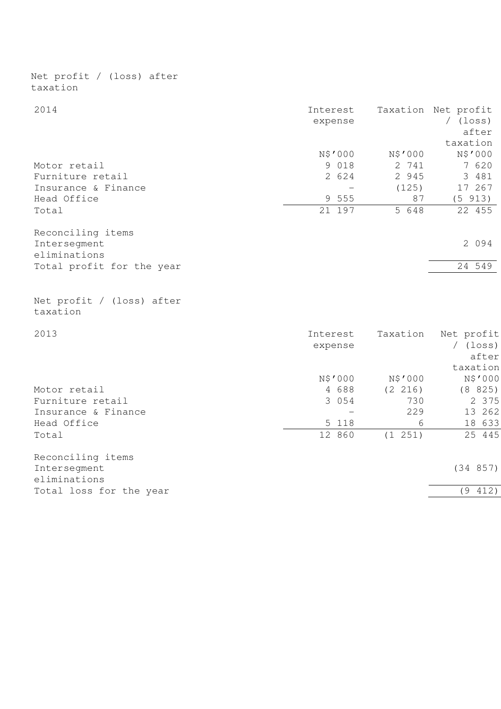| taxation                              |                     |          |                                                        |
|---------------------------------------|---------------------|----------|--------------------------------------------------------|
| 2014                                  | Interest<br>expense |          | Taxation Net profit<br>$/$ (loss)<br>after<br>taxation |
|                                       | N\$'000             | N\$'000  | N\$'000                                                |
| Motor retail                          | 9 0 1 8             | 2 741    | 7 620                                                  |
| Furniture retail                      | 2 624               | 2 945    | 3 481                                                  |
| Insurance & Finance                   |                     | (125)    | 17 267                                                 |
| Head Office                           | 9 555               | 87       | (5 913)                                                |
| Total                                 | 21 197              | 5 648    | 22 455                                                 |
| Reconciling items<br>Intersegment     |                     |          | 2 0 9 4                                                |
| eliminations                          |                     |          |                                                        |
| Total profit for the year             |                     |          | 24 549                                                 |
| Net profit / (loss) after<br>taxation |                     |          |                                                        |
| 2013                                  | Interest            | Taxation | Net profit                                             |
|                                       | expense             |          | $/$ (loss)<br>after                                    |
|                                       |                     |          | taxation                                               |
|                                       | N\$'000             | N\$'000  | N\$'000                                                |
| Motor retail                          | 4 688               | (2 216)  | (8825)                                                 |
| Furniture retail                      | 3 0 5 4             | 730      | 2 375                                                  |
| Insurance & Finance                   |                     | 229      | 13 262                                                 |
| Head Office                           | 5<br>118            | 6        | 18 633                                                 |
| Total                                 | 12 860              | (1 251)  | 25 445                                                 |
| Reconciling items                     |                     |          |                                                        |
| Intersegment<br>eliminations          |                     |          | (34 857)                                               |
| Total loss for the year               |                     |          | (9 412)                                                |
|                                       |                     |          |                                                        |

Net profit / (loss) after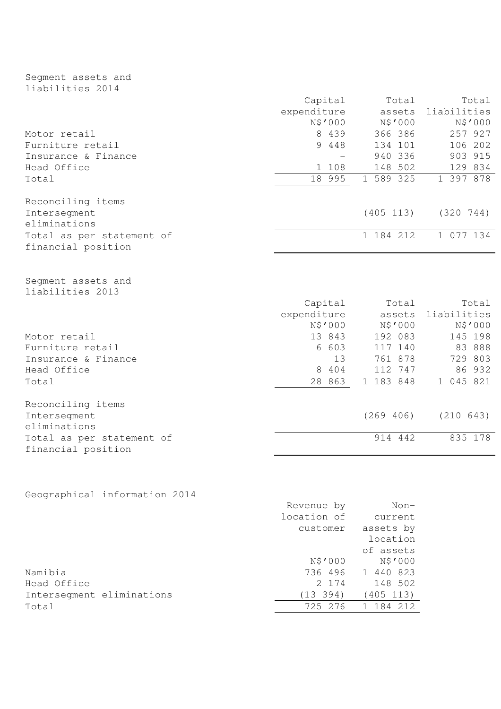# Segment assets and liabilities 2014

|                                                 | Capital     | Total     | Total       |
|-------------------------------------------------|-------------|-----------|-------------|
|                                                 | expenditure | assets    | liabilities |
|                                                 | N\$'000     | N\$'000   | N\$'000     |
| Motor retail                                    | 8 439       | 366 386   | 257 927     |
| Furniture retail                                | 9 4 4 8     | 134 101   | 106 202     |
| Insurance & Finance                             |             | 940 336   | 903 915     |
| Head Office                                     | 1 108       | 148 502   | 129 834     |
| Total                                           | 18 995      | 1 589 325 | 1 397 878   |
| Reconciling items                               |             |           |             |
| Intersegment<br>eliminations                    |             | (405 113) | (320 744)   |
| Total as per statement of<br>financial position |             | 1 184 212 | 1 077 134   |
| Seqment assets and<br>liabilities 2013          | Capital     | Total     | Total       |
|                                                 | expenditure | assets    | liabilities |
|                                                 | N\$'000     | N\$'000   | N\$'000     |
| Motor retail                                    | 13 843      | 192 083   | 145 198     |
| Furniture retail                                | 6 603       | 117 140   | 83 888      |
| Insurance & Finance                             | 13          | 761 878   | 729 803     |
| Head Office                                     | 8 404       | 112 747   | 86 932      |
| Total                                           | 28 863      | 1 183 848 | 1 045 821   |
| Reconciling items                               |             |           |             |
| Intersegment<br>eliminations                    |             | (269 406) | (210 643)   |
| Total as per statement of<br>financial position |             | 914 442   | 835 178     |

# Geographical information 2014

|                           | Revenue by  | Non-      |
|---------------------------|-------------|-----------|
|                           | location of | current   |
|                           | customer    | assets by |
|                           |             | location  |
|                           |             | of assets |
|                           | N\$'000     | N\$'000   |
| Namibia                   | 736 496     | 1 440 823 |
| Head Office               | 2 174       | 148 502   |
| Interseqment eliminations | (13 394)    | (405 113) |
| Total                     | 725 276     | 184 212   |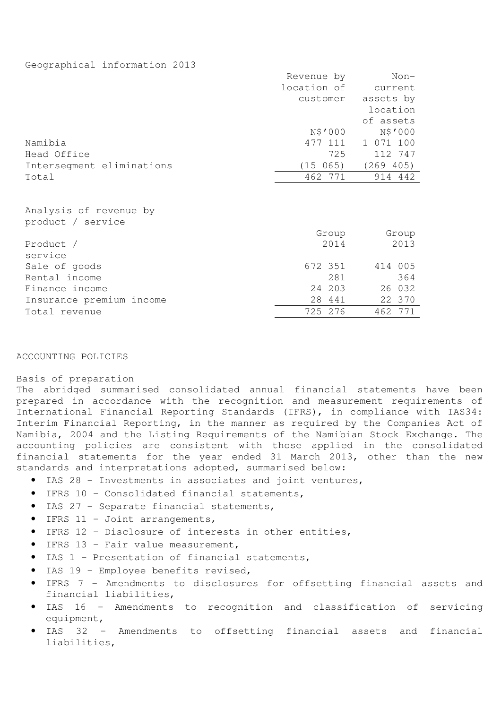## Geographical information 2013

|                                             | Revenue by  | Non-      |
|---------------------------------------------|-------------|-----------|
|                                             | location of | current   |
|                                             | customer    | assets by |
|                                             |             | location  |
|                                             |             | of assets |
|                                             | N\$'000     | N\$'000   |
| Namibia                                     | 477 111     | 1 071 100 |
| Head Office                                 | 725         | 112 747   |
| Intersegment eliminations                   | (15 065)    | (269 405) |
| Total                                       | 462 771     | 914 442   |
| Analysis of revenue by<br>product / service |             |           |
|                                             | Group       | Group     |
| Product /<br>service                        | 2014        | 2013      |
| Sale of goods                               | 672 351     | 414 005   |
| Rental income                               | 281         | 364       |
| Finance income                              | 24 203      | 26 032    |
| Insurance premium income                    | 28 441      | 22 370    |
| Total revenue                               | 725 276     | 462 771   |

## ACCOUNTING POLICIES

#### Basis of preparation

The abridged summarised consolidated annual financial statements have been prepared in accordance with the recognition and measurement requirements of International Financial Reporting Standards (IFRS), in compliance with IAS34: Interim Financial Reporting, in the manner as required by the Companies Act of Namibia, 2004 and the Listing Requirements of the Namibian Stock Exchange. The accounting policies are consistent with those applied in the consolidated financial statements for the year ended 31 March 2013, other than the new standards and interpretations adopted, summarised below:

- IAS 28 Investments in associates and joint ventures,
- IFRS 10 Consolidated financial statements,
- IAS 27 Separate financial statements,
- IFRS  $11 -$  Joint arrangements,
- IFRS 12 Disclosure of interests in other entities,
- IFRS 13 Fair value measurement,
- IAS 1 Presentation of financial statements,
- IAS 19 Employee benefits revised,
- IFRS 7 Amendments to disclosures for offsetting financial assets and financial liabilities,
- IAS 16 Amendments to recognition and classification of servicing equipment,
- IAS 32 Amendments to offsetting financial assets and financial liabilities,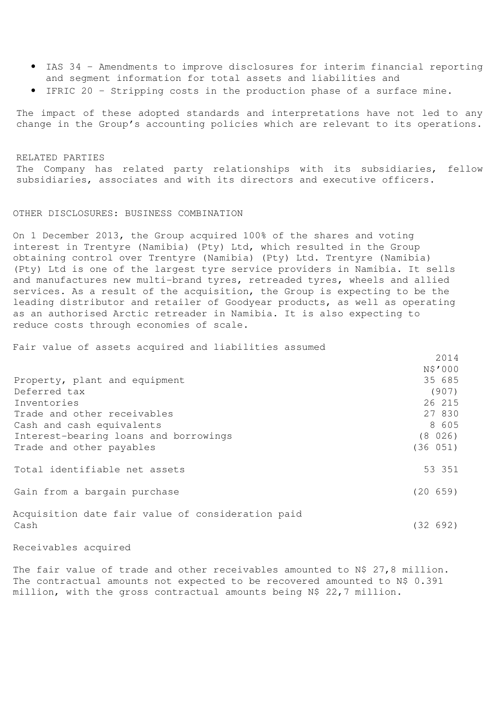- IAS 34 Amendments to improve disclosures for interim financial reporting and segment information for total assets and liabilities and
- IFRIC 20 Stripping costs in the production phase of a surface mine.

The impact of these adopted standards and interpretations have not led to any change in the Group's accounting policies which are relevant to its operations.

#### RELATED PARTIES

The Company has related party relationships with its subsidiaries, fellow subsidiaries, associates and with its directors and executive officers.

## OTHER DISCLOSURES: BUSINESS COMBINATION

On 1 December 2013, the Group acquired 100% of the shares and voting interest in Trentyre (Namibia) (Pty) Ltd, which resulted in the Group obtaining control over Trentyre (Namibia) (Pty) Ltd. Trentyre (Namibia) (Pty) Ltd is one of the largest tyre service providers in Namibia. It sells and manufactures new multi-brand tyres, retreaded tyres, wheels and allied services. As a result of the acquisition, the Group is expecting to be the leading distributor and retailer of Goodyear products, as well as operating as an authorised Arctic retreader in Namibia. It is also expecting to reduce costs through economies of scale.

 $2011$ 

Fair value of assets acquired and liabilities assumed

|                                                   | ∠ ∪ ⊥ ᠴ  |
|---------------------------------------------------|----------|
|                                                   | N\$'000  |
| Property, plant and equipment                     | 35 685   |
| Deferred tax                                      | (907)    |
| Inventories                                       | 26 215   |
| Trade and other receivables                       | 27 830   |
| Cash and cash equivalents                         | 8 605    |
| Interest-bearing loans and borrowings             | (8 026)  |
| Trade and other payables                          | (36 051) |
| Total identifiable net assets                     | 53 351   |
| Gain from a bargain purchase                      | (20 659) |
| Acquisition date fair value of consideration paid |          |
| Cash                                              | (32 692) |
|                                                   |          |

Receivables acquired

The fair value of trade and other receivables amounted to N\$ 27,8 million. The contractual amounts not expected to be recovered amounted to N\$ 0.391 million, with the gross contractual amounts being N\$ 22,7 million.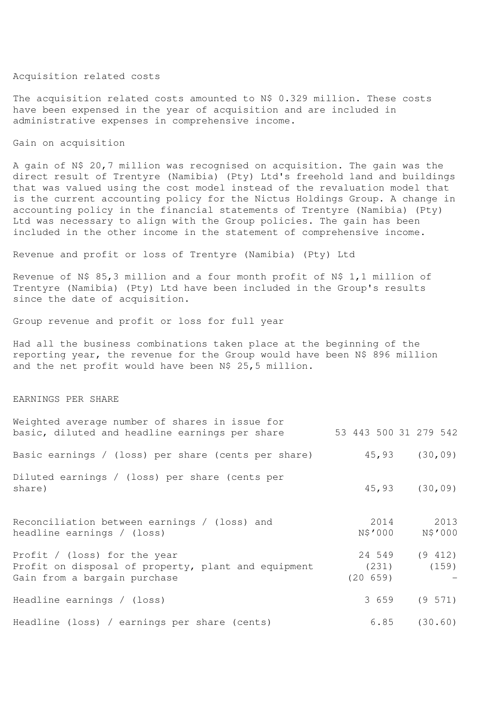## Acquisition related costs

The acquisition related costs amounted to N\$ 0.329 million. These costs have been expensed in the year of acquisition and are included in administrative expenses in comprehensive income.

## Gain on acquisition

A gain of N\$ 20,7 million was recognised on acquisition. The gain was the direct result of Trentyre (Namibia) (Pty) Ltd's freehold land and buildings that was valued using the cost model instead of the revaluation model that is the current accounting policy for the Nictus Holdings Group. A change in accounting policy in the financial statements of Trentyre (Namibia) (Pty) Ltd was necessary to align with the Group policies. The gain has been included in the other income in the statement of comprehensive income.

Revenue and profit or loss of Trentyre (Namibia) (Pty) Ltd

Revenue of N\$ 85,3 million and a four month profit of N\$ 1,1 million of Trentyre (Namibia) (Pty) Ltd have been included in the Group's results since the date of acquisition.

Group revenue and profit or loss for full year

Had all the business combinations taken place at the beginning of the reporting year, the revenue for the Group would have been N\$ 896 million and the net profit would have been N\$ 25,5 million.

#### EARNINGS PER SHARE

| Weighted average number of shares in issue for<br>basic, diluted and headline earnings per share                    | 53 443 500 31 279 542       |                   |
|---------------------------------------------------------------------------------------------------------------------|-----------------------------|-------------------|
| Basic earnings / (loss) per share (cents per share)                                                                 |                             | $45,93$ $(30,09)$ |
| Diluted earnings / (loss) per share (cents per<br>share)                                                            |                             | $45,93$ $(30,09)$ |
| Reconciliation between earnings / (loss) and<br>headline earnings / (loss)                                          | 2014<br>N\$'000             | 2013<br>N\$'000   |
| Profit / (loss) for the year<br>Profit on disposal of property, plant and equipment<br>Gain from a bargain purchase | 24 549<br>(231)<br>(20 659) | (9 412)<br>(159)  |
| Headline earnings / (loss)                                                                                          | 3 6 5 9                     | $(9\;571)$        |
| Headline (loss) / earnings per share (cents)                                                                        |                             | $6.85$ $(30.60)$  |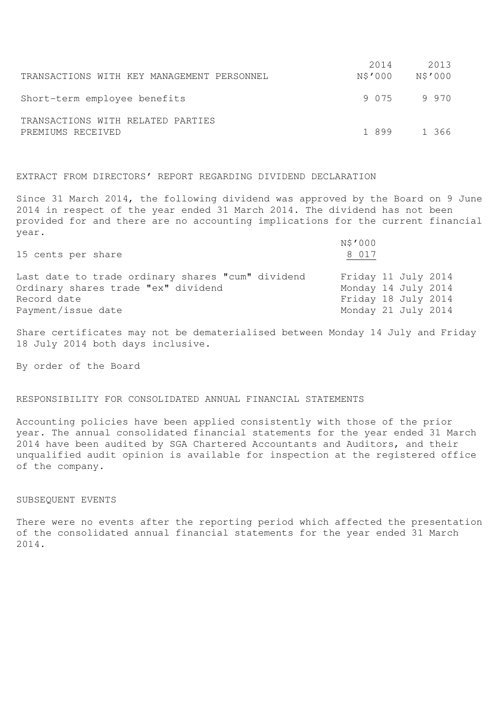|                                                        | 2014    | 2013            |
|--------------------------------------------------------|---------|-----------------|
| TRANSACTIONS WITH KEY MANAGEMENT PERSONNEL             | N\$'000 | N\$'000         |
| Short-term employee benefits                           |         | 9 0 7 5 9 9 7 0 |
| TRANSACTIONS WITH RELATED PARTIES<br>PREMIUMS RECEIVED | 1899    | 1366            |

## EXTRACT FROM DIRECTORS' REPORT REGARDING DIVIDEND DECLARATION

Since 31 March 2014, the following dividend was approved by the Board on 9 June 2014 in respect of the year ended 31 March 2014. The dividend has not been provided for and there are no accounting implications for the current financial year.

| 15 cents per share                                                                       | N\$'000<br>8 017                           |
|------------------------------------------------------------------------------------------|--------------------------------------------|
| Last date to trade ordinary shares "cum" dividend<br>Ordinary shares trade "ex" dividend | Friday 11 July 2014<br>Monday 14 July 2014 |
| Record date                                                                              | Friday 18 July 2014                        |
| Payment/issue date                                                                       | Monday 21 July 2014                        |

Share certificates may not be dematerialised between Monday 14 July and Friday 18 July 2014 both days inclusive.

By order of the Board

#### RESPONSIBILITY FOR CONSOLIDATED ANNUAL FINANCIAL STATEMENTS

Accounting policies have been applied consistently with those of the prior year. The annual consolidated financial statements for the year ended 31 March 2014 have been audited by SGA Chartered Accountants and Auditors, and their unqualified audit opinion is available for inspection at the registered office of the company.

#### SUBSEQUENT EVENTS

There were no events after the reporting period which affected the presentation of the consolidated annual financial statements for the year ended 31 March 2014.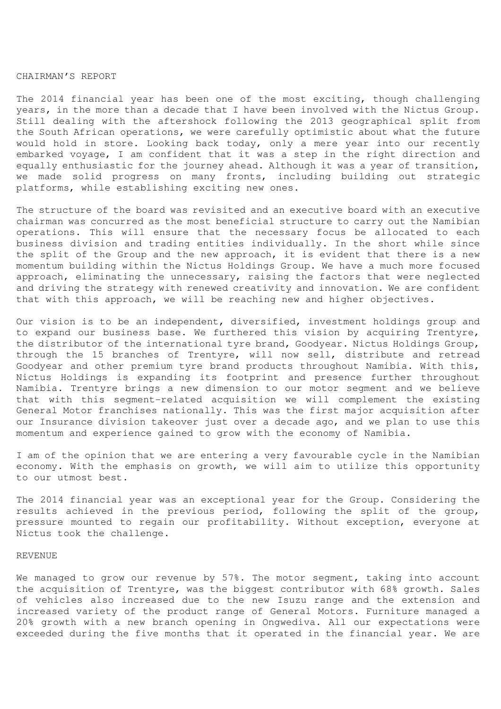#### CHAIRMAN'S REPORT

The 2014 financial year has been one of the most exciting, though challenging years, in the more than a decade that I have been involved with the Nictus Group. Still dealing with the aftershock following the 2013 geographical split from the South African operations, we were carefully optimistic about what the future would hold in store. Looking back today, only a mere year into our recently embarked voyage, I am confident that it was a step in the right direction and equally enthusiastic for the journey ahead. Although it was a year of transition, we made solid progress on many fronts, including building out strategic platforms, while establishing exciting new ones.

The structure of the board was revisited and an executive board with an executive chairman was concurred as the most beneficial structure to carry out the Namibian operations. This will ensure that the necessary focus be allocated to each business division and trading entities individually. In the short while since the split of the Group and the new approach, it is evident that there is a new momentum building within the Nictus Holdings Group. We have a much more focused approach, eliminating the unnecessary, raising the factors that were neglected and driving the strategy with renewed creativity and innovation. We are confident that with this approach, we will be reaching new and higher objectives.

Our vision is to be an independent, diversified, investment holdings group and to expand our business base. We furthered this vision by acquiring Trentyre, the distributor of the international tyre brand, Goodyear. Nictus Holdings Group, through the 15 branches of Trentyre, will now sell, distribute and retread Goodyear and other premium tyre brand products throughout Namibia. With this, Nictus Holdings is expanding its footprint and presence further throughout Namibia. Trentyre brings a new dimension to our motor segment and we believe that with this segment-related acquisition we will complement the existing General Motor franchises nationally. This was the first major acquisition after our Insurance division takeover just over a decade ago, and we plan to use this momentum and experience gained to grow with the economy of Namibia.

I am of the opinion that we are entering a very favourable cycle in the Namibian economy. With the emphasis on growth, we will aim to utilize this opportunity to our utmost best.

The 2014 financial year was an exceptional year for the Group. Considering the results achieved in the previous period, following the split of the group, pressure mounted to regain our profitability. Without exception, everyone at Nictus took the challenge.

#### REVENUE

We managed to grow our revenue by 57%. The motor segment, taking into account the acquisition of Trentyre, was the biggest contributor with 68% growth. Sales of vehicles also increased due to the new Isuzu range and the extension and increased variety of the product range of General Motors. Furniture managed a 20% growth with a new branch opening in Ongwediva. All our expectations were exceeded during the five months that it operated in the financial year. We are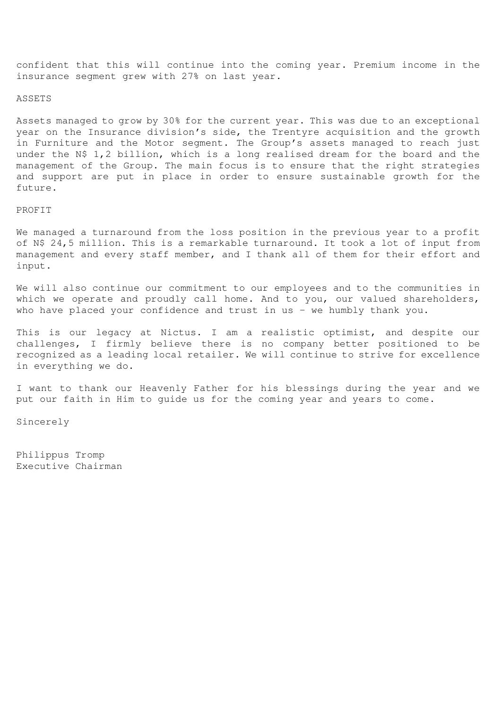confident that this will continue into the coming year. Premium income in the insurance segment grew with 27% on last year.

#### ASSETS

Assets managed to grow by 30% for the current year. This was due to an exceptional year on the Insurance division's side, the Trentyre acquisition and the growth in Furniture and the Motor segment. The Group's assets managed to reach just under the N\$ 1,2 billion, which is a long realised dream for the board and the management of the Group. The main focus is to ensure that the right strategies and support are put in place in order to ensure sustainable growth for the future.

## PROFIT

We managed a turnaround from the loss position in the previous year to a profit of N\$ 24,5 million. This is a remarkable turnaround. It took a lot of input from management and every staff member, and I thank all of them for their effort and input.

We will also continue our commitment to our employees and to the communities in which we operate and proudly call home. And to you, our valued shareholders, who have placed your confidence and trust in us - we humbly thank you.

This is our legacy at Nictus. I am a realistic optimist, and despite our challenges, I firmly believe there is no company better positioned to be recognized as a leading local retailer. We will continue to strive for excellence in everything we do.

I want to thank our Heavenly Father for his blessings during the year and we put our faith in Him to guide us for the coming year and years to come.

Sincerely

Philippus Tromp Executive Chairman